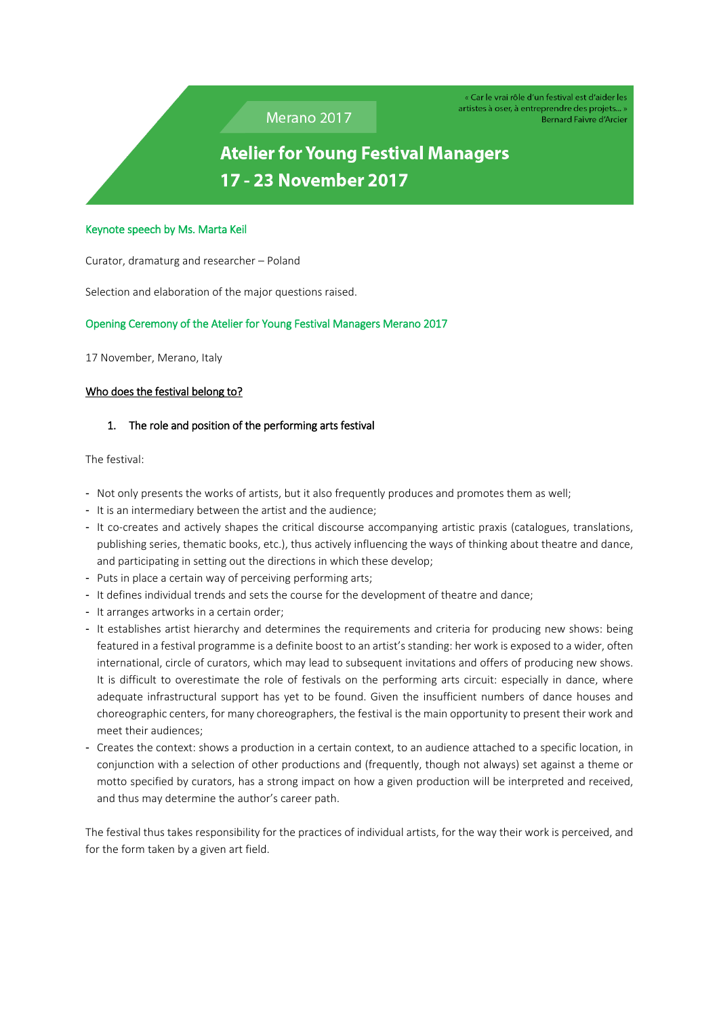Merano 2017

« Car le vrai rôle d'un festival est d'aider les artistes à oser, à entreprendre des projets... » Bernard Faivre d'Arcier

# **Atelier for Young Festival Managers** 17 - 23 November 2017

#### Keynote speech by Ms. Marta Keil

Curator, dramaturg and researcher – Poland

Selection and elaboration of the major questions raised.

### Opening Ceremony of the Atelier for Young Festival Managers Merano 2017

17 November, Merano, Italy

### Who does the festival belong to?

### 1. The role and position of the performing arts festival

The festival:

- Not only presents the works of artists, but it also frequently produces and promotes them as well;
- It is an intermediary between the artist and the audience;
- It co-creates and actively shapes the critical discourse accompanying artistic praxis (catalogues, translations, publishing series, thematic books, etc.), thus actively influencing the ways of thinking about theatre and dance, and participating in setting out the directions in which these develop;
- Puts in place a certain way of perceiving performing arts;
- It defines individual trends and sets the course for the development of theatre and dance;
- It arranges artworks in a certain order;
- It establishes artist hierarchy and determines the requirements and criteria for producing new shows: being featured in a festival programme is a definite boost to an artist's standing: her work is exposed to a wider, often international, circle of curators, which may lead to subsequent invitations and offers of producing new shows. It is difficult to overestimate the role of festivals on the performing arts circuit: especially in dance, where adequate infrastructural support has yet to be found. Given the insufficient numbers of dance houses and choreographic centers, for many choreographers, the festival is the main opportunity to present their work and meet their audiences;
- Creates the context: shows a production in a certain context, to an audience attached to a specific location, in conjunction with a selection of other productions and (frequently, though not always) set against a theme or motto specified by curators, has a strong impact on how a given production will be interpreted and received, and thus may determine the author's career path.

The festival thus takes responsibility for the practices of individual artists, for the way their work is perceived, and for the form taken by a given art field.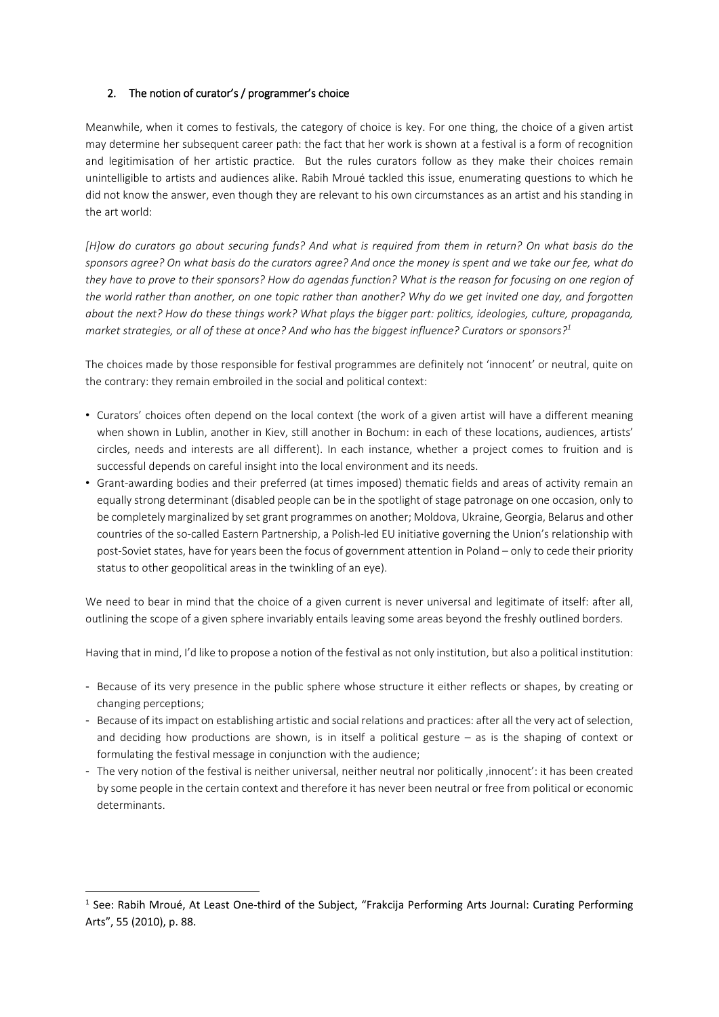## 2. The notion of curator's / programmer's choice

Meanwhile, when it comes to festivals, the category of choice is key. For one thing, the choice of a given artist may determine her subsequent career path: the fact that her work is shown at a festival is a form of recognition and legitimisation of her artistic practice. But the rules curators follow as they make their choices remain unintelligible to artists and audiences alike. Rabih Mroué tackled this issue, enumerating questions to which he did not know the answer, even though they are relevant to his own circumstances as an artist and his standing in the art world:

[H]ow do curators go about securing funds? And what is required from them in return? On what basis do the sponsors agree? On what basis do the curators agree? And once the money is spent and we take our fee, what do they have to prove to their sponsors? How do agendas function? What is the reason for focusing on one region of the world rather than another, on one topic rather than another? Why do we get invited one day, and forgotten about the next? How do these things work? What plays the bigger part: politics, ideologies, culture, propaganda, market strategies, or all of these at once? And who has the biggest influence? Curators or sponsors?<sup>1</sup>

The choices made by those responsible for festival programmes are definitely not 'innocent' or neutral, quite on the contrary: they remain embroiled in the social and political context:

- Curators' choices often depend on the local context (the work of a given artist will have a different meaning when shown in Lublin, another in Kiev, still another in Bochum: in each of these locations, audiences, artists' circles, needs and interests are all different). In each instance, whether a project comes to fruition and is successful depends on careful insight into the local environment and its needs.
- Grant-awarding bodies and their preferred (at times imposed) thematic fields and areas of activity remain an equally strong determinant (disabled people can be in the spotlight of stage patronage on one occasion, only to be completely marginalized by set grant programmes on another; Moldova, Ukraine, Georgia, Belarus and other countries of the so-called Eastern Partnership, a Polish-led EU initiative governing the Union's relationship with post-Soviet states, have for years been the focus of government attention in Poland – only to cede their priority status to other geopolitical areas in the twinkling of an eye).

We need to bear in mind that the choice of a given current is never universal and legitimate of itself: after all, outlining the scope of a given sphere invariably entails leaving some areas beyond the freshly outlined borders.

Having that in mind, I'd like to propose a notion of the festival as not only institution, but also a political institution:

- Because of its very presence in the public sphere whose structure it either reflects or shapes, by creating or changing perceptions;
- Because of its impact on establishing artistic and social relations and practices: after all the very act of selection, and deciding how productions are shown, is in itself a political gesture – as is the shaping of context or formulating the festival message in conjunction with the audience;
- The very notion of the festival is neither universal, neither neutral nor politically , innocent': it has been created by some people in the certain context and therefore it has never been neutral or free from political or economic determinants.

**.** 

<sup>&</sup>lt;sup>1</sup> See: Rabih Mroué, At Least One-third of the Subject, "Frakcija Performing Arts Journal: Curating Performing Arts", 55 (2010), p. 88.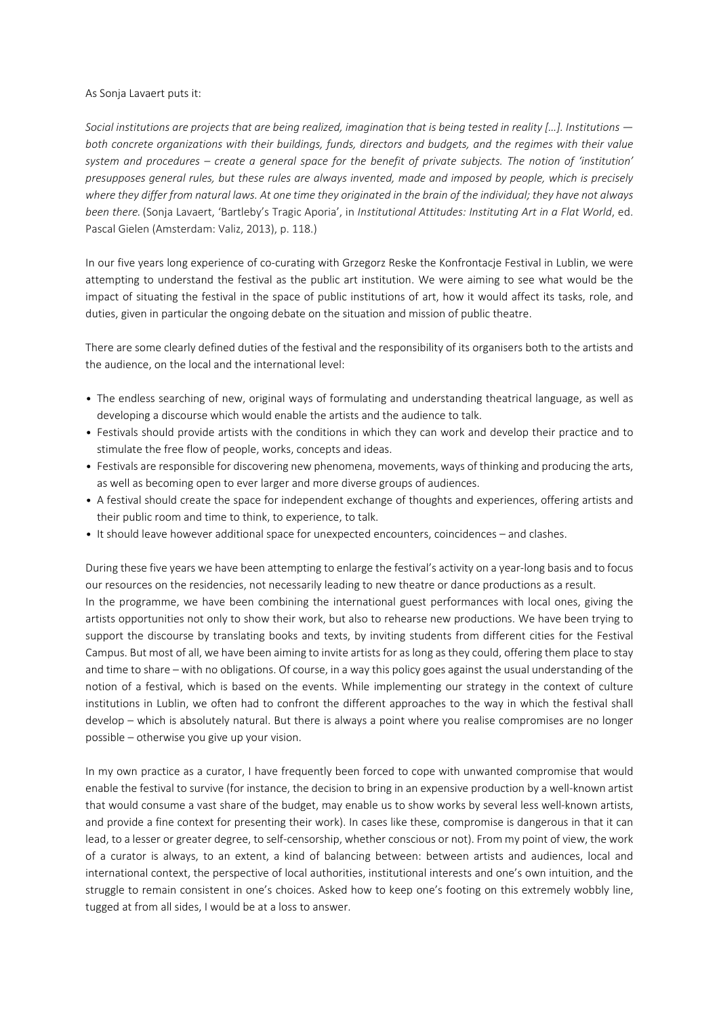#### As Sonja Lavaert puts it:

Social institutions are projects that are being realized, imagination that is being tested in reality [...]. Institutions  $$ *both concrete organizations with their buildings, funds, directors and budgets, and the regimes with their value* system and procedures - create a general space for the benefit of private subjects. The notion of 'institution' presupposes general rules, but these rules are always invented, made and imposed by people, which is precisely where they differ from natural laws. At one time they originated in the brain of the individual; they have not always *been there.* (Sonja Lavaert, 'Bartleby's Tragic Aporia', in *Institutional Attitudes: Instituting Art in a Flat World*, ed. Pascal Gielen (Amsterdam: Valiz, 2013), p. 118.)

In our five years long experience of co-curating with Grzegorz Reske the Konfrontacje Festival in Lublin, we were attempting to understand the festival as the public art institution. We were aiming to see what would be the impact of situating the festival in the space of public institutions of art, how it would affect its tasks, role, and duties, given in particular the ongoing debate on the situation and mission of public theatre.

There are some clearly defined duties of the festival and the responsibility of its organisers both to the artists and the audience, on the local and the international level:

- The endless searching of new, original ways of formulating and understanding theatrical language, as well as developing a discourse which would enable the artists and the audience to talk.
- Festivals should provide artists with the conditions in which they can work and develop their practice and to stimulate the free flow of people, works, concepts and ideas.
- Festivals are responsible for discovering new phenomena, movements, ways of thinking and producing the arts, as well as becoming open to ever larger and more diverse groups of audiences.
- A festival should create the space for independent exchange of thoughts and experiences, offering artists and their public room and time to think, to experience, to talk.
- It should leave however additional space for unexpected encounters, coincidences and clashes.

During these five years we have been attempting to enlarge the festival's activity on a year-long basis and to focus our resources on the residencies, not necessarily leading to new theatre or dance productions as a result. In the programme, we have been combining the international guest performances with local ones, giving the artists opportunities not only to show their work, but also to rehearse new productions. We have been trying to support the discourse by translating books and texts, by inviting students from different cities for the Festival Campus. But most of all, we have been aiming to invite artists for as long as they could, offering them place to stay and time to share – with no obligations. Of course, in a way this policy goes against the usual understanding of the notion of a festival, which is based on the events. While implementing our strategy in the context of culture institutions in Lublin, we often had to confront the different approaches to the way in which the festival shall develop – which is absolutely natural. But there is always a point where you realise compromises are no longer possible – otherwise you give up your vision.

In my own practice as a curator, I have frequently been forced to cope with unwanted compromise that would enable the festival to survive (for instance, the decision to bring in an expensive production by a well-known artist that would consume a vast share of the budget, may enable us to show works by several less well-known artists, and provide a fine context for presenting their work). In cases like these, compromise is dangerous in that it can lead, to a lesser or greater degree, to self-censorship, whether conscious or not). From my point of view, the work of a curator is always, to an extent, a kind of balancing between: between artists and audiences, local and international context, the perspective of local authorities, institutional interests and one's own intuition, and the struggle to remain consistent in one's choices. Asked how to keep one's footing on this extremely wobbly line, tugged at from all sides, I would be at a loss to answer.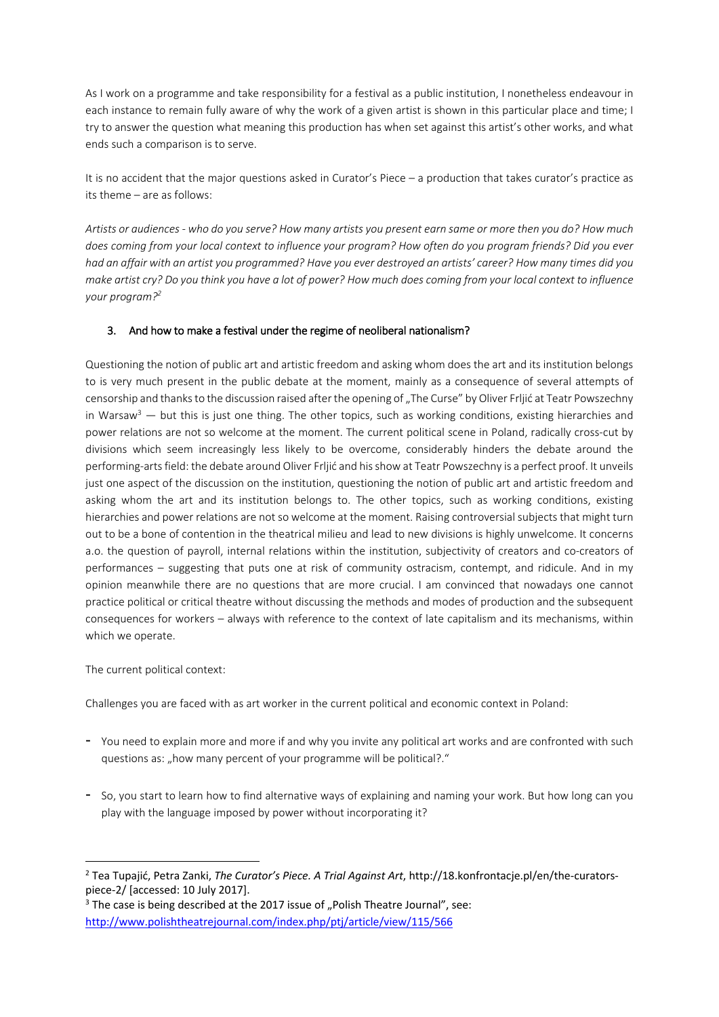As I work on a programme and take responsibility for a festival as a public institution, I nonetheless endeavour in each instance to remain fully aware of why the work of a given artist is shown in this particular place and time; I try to answer the question what meaning this production has when set against this artist's other works, and what ends such a comparison is to serve.

It is no accident that the major questions asked in Curator's Piece – a production that takes curator's practice as its theme – are as follows:

Artists or audiences - who do you serve? How many artists you present earn same or more then you do? How much does coming from your local context to influence your program? How often do you program friends? Did you ever had an affair with an artist you programmed? Have you ever destroyed an artists' career? How many times did you make artist cry? Do you think you have a lot of power? How much does coming from your local context to influence *your program?<sup>2</sup>*

## 3. And how to make a festival under the regime of neoliberal nationalism?

Questioning the notion of public art and artistic freedom and asking whom does the art and its institution belongs to is very much present in the public debate at the moment, mainly as a consequence of several attempts of censorship and thanks to the discussion raised after the opening of "The Curse" by Oliver Frljić at Teatr Powszechny in Warsaw<sup>3</sup> — but this is just one thing. The other topics, such as working conditions, existing hierarchies and power relations are not so welcome at the moment. The current political scene in Poland, radically cross-cut by divisions which seem increasingly less likely to be overcome, considerably hinders the debate around the performing-arts field: the debate around Oliver Frljić and his show at Teatr Powszechny is a perfect proof. It unveils just one aspect of the discussion on the institution, questioning the notion of public art and artistic freedom and asking whom the art and its institution belongs to. The other topics, such as working conditions, existing hierarchies and power relations are not so welcome at the moment. Raising controversial subjects that might turn out to be a bone of contention in the theatrical milieu and lead to new divisions is highly unwelcome. It concerns a.o. the question of payroll, internal relations within the institution, subjectivity of creators and co-creators of performances – suggesting that puts one at risk of community ostracism, contempt, and ridicule. And in my opinion meanwhile there are no questions that are more crucial. I am convinced that nowadays one cannot practice political or critical theatre without discussing the methods and modes of production and the subsequent consequences for workers – always with reference to the context of late capitalism and its mechanisms, within which we operate.

The current political context:

**.** 

Challenges you are faced with as art worker in the current political and economic context in Poland:

- You need to explain more and more if and why you invite any political art works and are confronted with such questions as: "how many percent of your programme will be political?."
- So, you start to learn how to find alternative ways of explaining and naming your work. But how long can you play with the language imposed by power without incorporating it?

<sup>2</sup> Tea Tupajić, Petra Zanki, *The Curator's Piece. A Trial Against Art*, http://18.konfrontacje.pl/en/the-curatorspiece-2/ [accessed: 10 July 2017].

 $3$  The case is being described at the 2017 issue of "Polish Theatre Journal", see: <http://www.polishtheatrejournal.com/index.php/ptj/article/view/115/566>